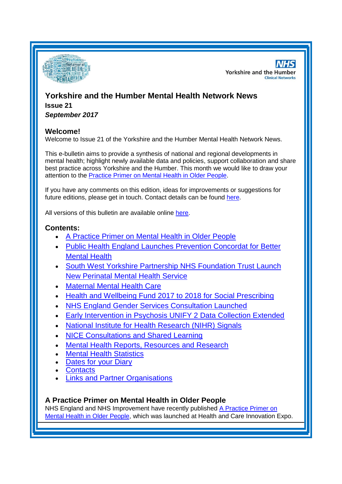

**NHS Yorkshire and the Humber Clinical Networks** 

# **Yorkshire and the Humber Mental Health Network News Issue 21**

*September 2017*

## **Welcome!**

Welcome to Issue 21 of the Yorkshire and the Humber Mental Health Network News.

This e-bulletin aims to provide a synthesis of national and regional developments in mental health; highlight newly available data and policies, support collaboration and share best practice across Yorkshire and the Humber. This month we would like to draw your attention to the [Practice Primer on Mental Health in Older People.](#page-0-0)

If you have any comments on this edition, ideas for improvements or suggestions for future editions, please get in touch. Contact details can be found [here.](#page-6-0)

All versions of this bulletin are available online [here.](http://www.yhscn.nhs.uk/mental-health-clinic/mental-health-network/MH-documents-and-links.php)

## **Contents:**

- [A Practice Primer on Mental Health in Older People](#page-0-0)
- [Public Health England Launches Prevention Concordat for Better](#page-0-0)  [Mental Health](#page-0-0)
- South West Yorkshire Partnership NHS Foundation Trust Launch [New Perinatal Mental Health Service](#page-1-0)
- [Maternal Mental Health Care](#page-1-1)
- [Health and Wellbeing Fund 2017 to 2018 for Social Prescribing](#page-1-1)
- [NHS England Gender Services Consultation Launched](#page-2-0)
- [Early Intervention in Psychosis UNIFY 2 Data Collection Extended](#page-2-1)
- [National Institute for Health Research \(NIHR\) Signals](#page-2-2)
- [NICE Consultations and Shared Learning](#page-2-3)
- [Mental Health Reports, Resources and Research](#page-0-0)
- **[Mental Health Statistics](#page-4-0)**
- [Dates for your](#page-5-0) Diary
- **[Contacts](#page-6-0)**
- [Links and Partner Organisations](#page-7-0)

# <span id="page-0-0"></span>**A Practice Primer on Mental Health in Older People**

NHS England and NHS Improvement have recently published [A Practice Primer on](http://ccgbulletin.cmail20.com/t/d-l-uytriuy-cdyegjt-m/)  [Mental Health in Older People,](http://ccgbulletin.cmail20.com/t/d-l-uytriuy-cdyegjt-m/) which was launched at Health and Care Innovation Expo.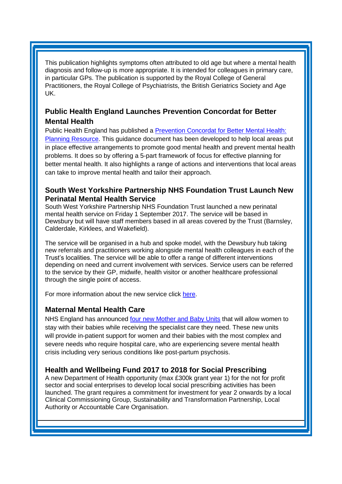This publication highlights symptoms often attributed to old age but where a mental health diagnosis and follow-up is more appropriate. It is intended for colleagues in primary care, in particular GPs. The publication is supported by the Royal College of General Practitioners, the Royal College of Psychiatrists, the British Geriatrics Society and Age UK.

## **Public Health England Launches Prevention Concordat for Better Mental Health**

Public Health England has published a [Prevention Concordat for Better Mental Health:](https://www.gov.uk/government/publications/prevention-concordat-for-better-mental-health-planning-resource)  [Planning Resource.](https://www.gov.uk/government/publications/prevention-concordat-for-better-mental-health-planning-resource) This guidance document has been developed to help local areas put in place effective arrangements to promote good mental health and prevent mental health problems. It does so by offering a 5-part framework of focus for effective planning for better mental health. It also highlights a range of actions and interventions that local areas can take to improve mental health and tailor their approach.

### <span id="page-1-0"></span>**South West Yorkshire Partnership NHS Foundation Trust Launch New Perinatal Mental Health Service**

South West Yorkshire Partnership NHS Foundation Trust launched a new perinatal mental health service on Friday 1 September 2017. The service will be based in Dewsbury but will have staff members based in all areas covered by the Trust (Barnsley, Calderdale, Kirklees, and Wakefield).

The service will be organised in a hub and spoke model, with the Dewsbury hub taking new referrals and practitioners working alongside mental health colleagues in each of the Trust's localities. The service will be able to offer a range of different interventions depending on need and current involvement with services. Service users can be referred to the service by their GP, midwife, health visitor or another healthcare professional through the single point of access.

For more information about the new service click [here.](http://www.southwestyorkshire.nhs.uk/news/articles/2017/09/launch-new-perinatal-mental-health-service/)

### <span id="page-1-1"></span>**Maternal Mental Health Care**

NHS England has announced [four new Mother and Baby Units](https://www.england.nhs.uk/2017/09/nhs-commits-to-better-care-for-expectant-and-new-mums-with-mental-health/) that will allow women to stay with their babies while receiving the specialist care they need. These new units will provide in-patient support for women and their babies with the most complex and severe needs who require hospital care, who are experiencing severe mental health crisis including very serious conditions like post-partum psychosis.

### **Health and Wellbeing Fund 2017 to 2018 for Social Prescribing**

A new Department of Health opportunity (max £300k grant year 1) for the not for profit sector and social enterprises to develop local social prescribing activities has been launched. The grant requires a commitment for investment for year 2 onwards by a local Clinical Commissioning Group, Sustainability and Transformation Partnership, Local Authority or Accountable Care Organisation.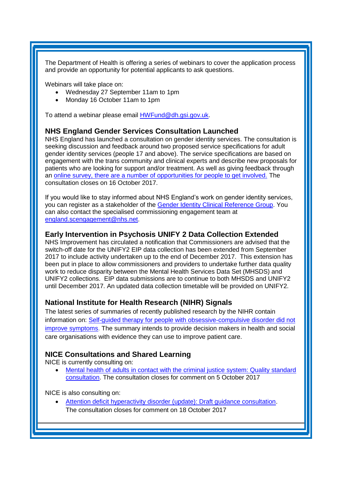The Department of Health is offering a series of webinars to cover the application process and provide an opportunity for potential applicants to ask questions.

Webinars will take place on:

- Wednesday 27 September 11am to 1pm
- Monday 16 October 11am to 1pm

To attend a webinar please email [HWFund@dh.gsi.gov.uk.](mailto:HWFund@dh.gsi.gov.uk)

#### <span id="page-2-0"></span>**NHS England Gender Services Consultation Launched**

NHS England has launched a consultation on gender identity services. The consultation is seeking discussion and feedback around two proposed service specifications for adult gender identity services (people 17 and above). The service specifications are based on engagement with the trans community and clinical experts and describe new proposals for patients who are looking for support and/or treatment. As well as giving feedback through an [online survey, there are a number of opportunities for people to get involved.](http://www.engage.england.nhs.uk/survey/gender-identity-services-for-adults) The consultation closes on 16 October 2017.

If you would like to stay informed about NHS England's work on gender identity services, you can register as a stakeholder of the [Gender Identity Clinical Reference Group.](https://www.england.nhs.uk/commissioning/spec-services/get-involved/crg-stake-reg/) You can also contact the specialised commissioning engagement team at [england.scengagement@nhs.net.](mailto:england.scengagement@nhs.net)

#### <span id="page-2-1"></span>**Early Intervention in Psychosis UNIFY 2 Data Collection Extended**

NHS Improvement has circulated a notification that Commissioners are advised that the switch-off date for the UNIFY2 EIP data collection has been extended from September 2017 to include activity undertaken up to the end of December 2017. This extension has been put in place to allow commissioners and providers to undertake further data quality work to reduce disparity between the Mental Health Services Data Set (MHSDS) and UNIFY2 collections. EIP data submissions are to continue to both MHSDS and UNIFY2 until December 2017. An updated data collection timetable will be provided on UNIFY2.

### <span id="page-2-2"></span>**National Institute for Health Research (NIHR) Signals**

The latest series of summaries of recently published research by the NIHR contain information on: [Self-guided therapy for people with obsessive-compulsive disorder did not](https://discover.dc.nihr.ac.uk/portal/article/4000781/guided-self-help-therapy-for-people-with-obsessive-compulsive-disorder-did-not-improve-symptoms)  [improve symptoms.](https://discover.dc.nihr.ac.uk/portal/article/4000781/guided-self-help-therapy-for-people-with-obsessive-compulsive-disorder-did-not-improve-symptoms) The summary intends to provide decision makers in health and social care organisations with evidence they can use to improve patient care.

#### <span id="page-2-3"></span>**NICE Consultations and Shared Learning**

NICE is currently consulting on:

 [Mental health of adults in contact with the criminal justice system: Quality standard](https://www.nice.org.uk/guidance/indevelopment/gid-qs10048/consultation/html-content-2)  [consultation.](https://www.nice.org.uk/guidance/indevelopment/gid-qs10048/consultation/html-content-2) The consultation closes for comment on 5 October 2017

NICE is also consulting on:

 [Attention deficit hyperactivity disorder \(update\): Draft guidance consultation.](https://www.nice.org.uk/guidance/indevelopment/gid-cgwave0798/consultation/html-content-2) The consultation closes for comment on 18 October 2017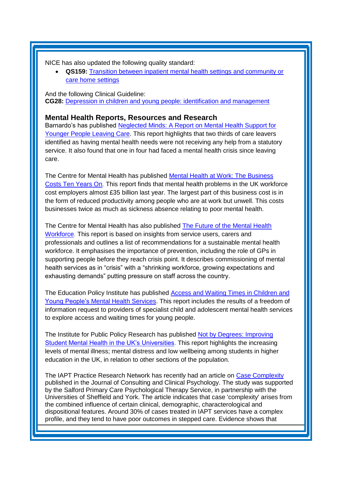NICE has also updated the following quality standard:

 **QS159:** [Transition between inpatient mental health settings and community or](https://www.nice.org.uk/guidance/qs159)  [care home settings](https://www.nice.org.uk/guidance/qs159)

And the following Clinical Guideline: **CG28:** [Depression in children and young people: identification and management](https://www.nice.org.uk/guidance/cg28)

### **Mental Health Reports, Resources and Research**

Barnardo's has published [Neglected Minds: A Report on Mental Health Support for](http://www.barnardos.org.uk/news/Care-leavers-urgently-need-mental-health-support/press_releases.htm?ref=126296)  [Younger People Leaving Care.](http://www.barnardos.org.uk/news/Care-leavers-urgently-need-mental-health-support/press_releases.htm?ref=126296) This report highlights that two thirds of care leavers identified as having mental health needs were not receiving any help from a statutory service. It also found that one in four had faced a mental health crisis since leaving care.

The Centre for Mental Health has published [Mental Health at Work: The Business](https://www.centreformentalhealth.org.uk/mental-health-at-work-report)  [Costs Ten Years On.](https://www.centreformentalhealth.org.uk/mental-health-at-work-report) This report finds that mental health problems in the UK workforce cost employers almost £35 billion last year. The largest part of this business cost is in the form of reduced productivity among people who are at work but unwell. This costs businesses twice as much as sickness absence relating to poor mental health.

The Centre for Mental Health has also published [The Future of the Mental Health](https://www.centreformentalhealth.org.uk/the-future-of-the-mental-health-workforce)  [Workforce.](https://www.centreformentalhealth.org.uk/the-future-of-the-mental-health-workforce) This report is based on insights from service users, carers and professionals and outlines a list of recommendations for a sustainable mental health workforce. It emphasises the importance of prevention, including the role of GPs in supporting people before they reach crisis point. It describes commissioning of mental health services as in "crisis" with a "shrinking workforce, growing expectations and exhausting demands" putting pressure on staff across the country.

The Education Policy Institute has published [Access and Waiting Times in Children and](https://epi.org.uk/report/mental-health-access-waiting-times/)  Young People's [Mental Health Services.](https://epi.org.uk/report/mental-health-access-waiting-times/) This report includes the results of a freedom of information request to providers of specialist child and adolescent mental health services to explore access and waiting times for young people.

The Institute for Public Policy Research has published Not by Degrees: Improving [Student Mental Health in the UK's Universities.](https://www.ippr.org/research/publications/not-by-degrees) This report highlights the increasing levels of mental illness; mental distress and low wellbeing among students in higher education in the UK, in relation to other sections of the population.

The IAPT Practice Research Network has recently had an article on [Case Complexity](http://www.yhscn.nhs.uk/media/PDFs/mhdn/Mental%20Health/IAPT%20Providers%20Meetings/Case_complexity_2017_JCCP.pdf) published in the Journal of Consulting and Clinical Psychology. The study was supported by the Salford Primary Care Psychological Therapy Service, in partnership with the Universities of Sheffield and York. The article indicates that case 'complexity' arises from the combined influence of certain clinical, demographic, characterological and dispositional features. Around 30% of cases treated in IAPT services have a complex profile, and they tend to have poor outcomes in stepped care. Evidence shows that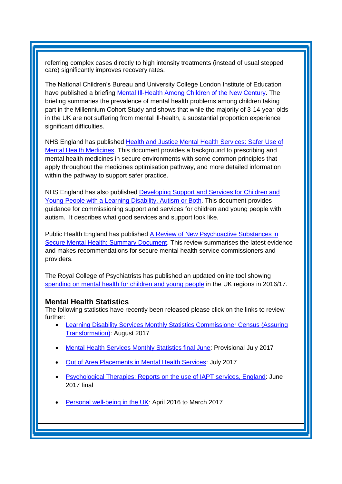referring complex cases directly to high intensity treatments (instead of usual stepped care) significantly improves recovery rates.

The National Children's Bureau and University College London Institute of Education have published a briefing [Mental Ill-Health Among Children of the](https://www.ncb.org.uk/news-opinion/news-highlights/one-four-girls-depressed-age-14-new-study-reveals) New Century. The briefing summaries the prevalence of mental health problems among children taking part in the Millennium Cohort Study and shows that while the majority of 3-14-year-olds in the UK are not suffering from mental ill-health, a substantial proportion experience significant difficulties.

NHS England has published [Health and Justice Mental Health Services: Safer Use of](https://www.england.nhs.uk/publication/heath-and-justice-mental-health-services-safer-use-of-mental-health-medicines/)  [Mental Health Medicines.](https://www.england.nhs.uk/publication/heath-and-justice-mental-health-services-safer-use-of-mental-health-medicines/) This document provides a background to prescribing and mental health medicines in secure environments with some common principles that apply throughout the medicines optimisation pathway, and more detailed information within the pathway to support safer practice.

NHS England has also published [Developing Support and Services for Children and](https://www.england.nhs.uk/publication/developing-support-and-services-for-children-and-young-people-with-a-learning-disability-autism-or-both/)  [Young People with a Learning Disability, Autism or Both.](https://www.england.nhs.uk/publication/developing-support-and-services-for-children-and-young-people-with-a-learning-disability-autism-or-both/) This document provides guidance for commissioning support and services for children and young people with autism. It describes what good services and support look like.

Public Health England has published [A Review of New Psychoactive Substances in](https://www.gov.uk/government/publications/psychoactive-substances-in-secure-mental-health-settings)  [Secure Mental Health: Summary Document.](https://www.gov.uk/government/publications/psychoactive-substances-in-secure-mental-health-settings) This review summarises the latest evidence and makes recommendations for secure mental health service commissioners and providers.

The Royal College of Psychiatrists has published an updated online tool showing [spending on mental health for children and young people](http://www.rcpsych.ac.uk/usefulresources/mentalhealthspendingdata/camhsspendinginyourregio-1.aspx) in the UK regions in 2016/17.

#### <span id="page-4-0"></span>**Mental Health Statistics**

The following statistics have recently been released please click on the links to review further:

- [Learning Disability Services Monthly Statistics Commissioner Census \(Assuring](https://www.gov.uk/government/statistics/learning-disability-services-monthly-statistics-commissioner-census-assuring-transformation-aug-2017)  [Transformation\):](https://www.gov.uk/government/statistics/learning-disability-services-monthly-statistics-commissioner-census-assuring-transformation-aug-2017) August 2017
- **[Mental Health Services Monthly Statistics final June:](http://digital.nhs.uk/catalogue/PUB30087) Provisional July 2017**
- [Out of Area Placements in Mental Health Services:](http://digital.nhs.uk/catalogue/PUB30088) July 2017
- [Psychological Therapies: Reports on the use of IAPT services, England:](https://www.gov.uk/government/statistics/psychological-therapies-reports-on-the-use-of-iapt-services-england-june-2017-final) June 2017 final
- [Personal well-being in the UK:](https://www.gov.uk/government/statistics/personal-well-being-in-the-uk-april-2016-to-march-2017) April 2016 to March 2017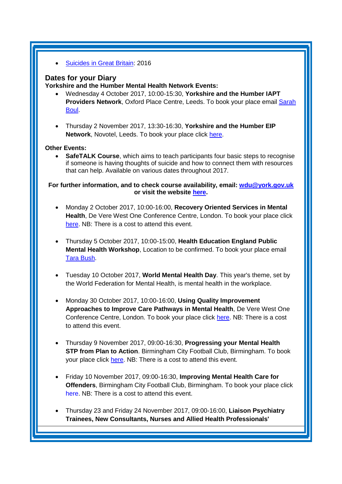[Suicides in Great Britain:](https://www.ons.gov.uk/releases/suicidesingreatbritain2016) 2016

# <span id="page-5-0"></span>**Dates for your Diary**

**Yorkshire and the Humber Mental Health Network Events:**

- Wednesday 4 October 2017, 10:00-15:30, **Yorkshire and the Humber IAPT Providers Network, Oxford Place Centre, Leeds. To book your place email Sarah** [Boul.](mailto:sarah.boul@nhs.net)
- Thursday 2 November 2017, 13:30-16:30, **Yorkshire and the Humber EIP Network**, Novotel, Leeds. To book your place click [here.](https://www.eventbrite.co.uk/e/yorkshire-and-the-humber-eip-network-tickets-37305556925)

# **Other Events:**

 **SafeTALK Course**, which aims to teach participants four basic steps to recognise if someone is having thoughts of suicide and how to connect them with resources that can help. Available on various dates throughout 2017.

### **For further information, and to check course availability, email: [wdu@york.gov.uk](mailto:wdu@york.gov.uk) or visit the website [here.](http://www.yorkworkforcedevelopment.org.uk/)**

- Monday 2 October 2017, 10:00-16:00, **Recovery Oriented Services in Mental Health**, De Vere West One Conference Centre, London. To book your place click [here.](https://www.healthcareconferencesuk.co.uk/event/1152) NB: There is a cost to attend this event.
- Thursday 5 October 2017, 10:00-15:00, **Health Education England Public Mental Health Workshop**, Location to be confirmed. To book your place email [Tara Bush.](mailto:tara.bush@hee.nhs.uk)
- Tuesday 10 October 2017, **World Mental Health Day**. This year's theme, set by the World Federation for Mental Health, is mental health in the workplace.
- Monday 30 October 2017, 10:00-16:00, **Using Quality Improvement Approaches to Improve Care Pathways in Mental Health**, De Vere West One Conference Centre, London. To book your place click [here.](https://www.healthcareconferencesuk.co.uk/event/1325/book) NB: There is a cost to attend this event.
- Thursday 9 November 2017, 09:00-16:30, **Progressing your Mental Health STP from Plan to Action**. Birmingham City Football Club, Birmingham. To book your place click [here.](http://www.sbk-healthcare.co.uk/booking/index/2263/?utm_source=SBK%20Healthcare&utm_medium=email&utm_campaign=8555067_1793MH%201st%20email) NB: There is a cost to attend this event.
- Friday 10 November 2017, 09:00-16:30, **Improving Mental Health Care for Offenders**, Birmingham City Football Club, Birmingham. To book your place click [here.](http://www.sbk-healthcare.co.uk/home/title/2259/nhsconference/improving-mental-health-care-for-offenders/?utm_source=SBK%20Healthcare&utm_medium=email&utm_campaign=8521670_1794MH%201st%20email#agenda) NB: There is a cost to attend this event.
- Thursday 23 and Friday 24 November 2017, 09:00-16:00, **Liaison Psychiatry Trainees, New Consultants, Nurses and Allied Health Professionals'**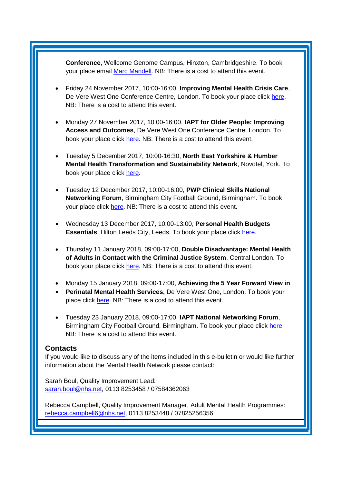**Conference**, Wellcome Genome Campus, Hinxton, Cambridgeshire. To book your place email [Marc Mandell.](mailto:Marc.Mandell@hpft.nhs.uk) NB: There is a cost to attend this event.

- Friday 24 November 2017, 10:00-16:00, **Improving Mental Health Crisis Care**, De Vere West One Conference Centre, London. To book your place click [here.](https://www.healthcareconferencesuk.co.uk/event/1171/book) NB: There is a cost to attend this event.
- Monday 27 November 2017, 10:00-16:00, **IAPT for Older People: Improving Access and Outcomes**, De Vere West One Conference Centre, London. To book your place click [here.](https://www.healthcareconferencesuk.co.uk/event/1297/book) NB: There is a cost to attend this event.
- Tuesday 5 December 2017, 10:00-16:30, **North East Yorkshire & Humber Mental Health Transformation and Sustainability Network**, Novotel, York. To book your place click [here.](https://www.eventbrite.co.uk/e/north-east-yorkshire-and-humber-mental-health-transformation-and-sustainability-network-registration-35373145029)
- Tuesday 12 December 2017, 10:00-16:00, **PWP Clinical Skills National Networking Forum**, Birmingham City Football Ground, Birmingham. To book your place click [here.](http://www.iapt-nnf.co.uk/booking/index/78/?utm_source=SBK%20Healthcare&utm_medium=email&utm_campaign=8609655_17116PT%201st%20email&dm_i=1SB0,54J93,MCTTTA,JNWLK,1) NB: There is a cost to attend this event.
- Wednesday 13 December 2017, 10:00-13:00, **Personal Health Budgets Essentials**, Hilton Leeds City, Leeds. To book your place click [here.](https://www.events.england.nhs.uk/events/4760/personal-health-budgets-essentials-leeds)
- Thursday 11 January 2018, 09:00-17:00, **Double Disadvantage: Mental Health of Adults in Contact with the Criminal Justice System**, Central London. To book your place click [here.](https://www.publicpolicyexchange.co.uk/book.php?event=IA11-PPE&ss=em&tg=1c) NB: There is a cost to attend this event.
- Monday 15 January 2018, 09:00-17:00, **Achieving the 5 Year Forward View in**
- **Perinatal Mental Health Services,** De Vere West One, London. To book your place click [here.](https://www.healthcareconferencesuk.co.uk/event/1081/book) NB: There is a cost to attend this event.
- Tuesday 23 January 2018, 09:00-17:00, **IAPT National Networking Forum**, Birmingham City Football Ground, Birmingham. To book your place click [here.](http://www.iapt-nnf.co.uk/booking/index/77/?utm_source=SBK%20Healthcare&utm_medium=email&utm_campaign=8639184_1801PT%201st%20email&dm_i=1SB0,5561C,MCTTTA,JQX1K,1) NB: There is a cost to attend this event.

### <span id="page-6-0"></span>**Contacts**

If you would like to discuss any of the items included in this e-bulletin or would like further information about the Mental Health Network please contact:

Sarah Boul, Quality Improvement Lead: [sarah.boul@nhs.net,](mailto:sarah.boul@nhs.net) 0113 8253458 / 07584362063

Rebecca Campbell, Quality Improvement Manager, Adult Mental Health Programmes: [rebecca.campbell6@nhs.net,](mailto:rebecca.campbell6@nhs.net) 0113 8253448 / 07825256356